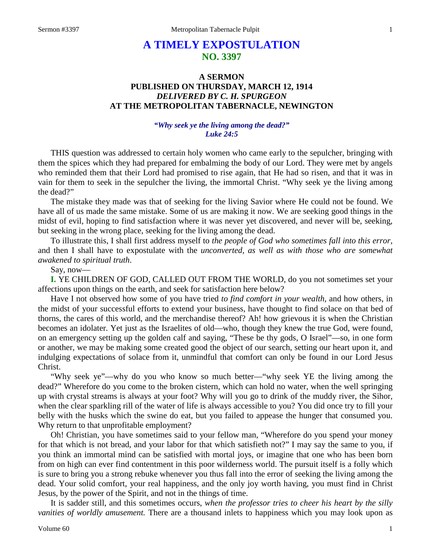# **A TIMELY EXPOSTULATION NO. 3397**

## **A SERMON PUBLISHED ON THURSDAY, MARCH 12, 1914** *DELIVERED BY C. H. SPURGEON* **AT THE METROPOLITAN TABERNACLE, NEWINGTON**

## *"Why seek ye the living among the dead?" Luke 24:5*

THIS question was addressed to certain holy women who came early to the sepulcher, bringing with them the spices which they had prepared for embalming the body of our Lord. They were met by angels who reminded them that their Lord had promised to rise again, that He had so risen, and that it was in vain for them to seek in the sepulcher the living, the immortal Christ. "Why seek ye the living among the dead?"

The mistake they made was that of seeking for the living Savior where He could not be found. We have all of us made the same mistake. Some of us are making it now. We are seeking good things in the midst of evil, hoping to find satisfaction where it was never yet discovered, and never will be, seeking, but seeking in the wrong place, seeking for the living among the dead.

To illustrate this, I shall first address myself to *the people of God who sometimes fall into this error,* and then I shall have to expostulate with the *unconverted, as well as with those who are somewhat awakened to spiritual truth*.

Say, now—

**I.** YE CHILDREN OF GOD, CALLED OUT FROM THE WORLD, do you not sometimes set your affections upon things on the earth, and seek for satisfaction here below?

Have I not observed how some of you have tried *to find comfort in your wealth,* and how others, in the midst of your successful efforts to extend your business, have thought to find solace on that bed of thorns, the cares of this world, and the merchandise thereof? Ah! how grievous it is when the Christian becomes an idolater. Yet just as the Israelites of old—who, though they knew the true God, were found, on an emergency setting up the golden calf and saying, "These be thy gods, O Israel"—so, in one form or another, we may be making some created good the object of our search, setting our heart upon it, and indulging expectations of solace from it, unmindful that comfort can only be found in our Lord Jesus Christ.

"Why seek ye"—why do you who know so much better—"why seek YE the living among the dead?" Wherefore do you come to the broken cistern, which can hold no water, when the well springing up with crystal streams is always at your foot? Why will you go to drink of the muddy river, the Sihor, when the clear sparkling rill of the water of life is always accessible to you? You did once try to fill your belly with the husks which the swine do eat, but you failed to appease the hunger that consumed you. Why return to that unprofitable employment?

Oh! Christian, you have sometimes said to your fellow man, "Wherefore do you spend your money for that which is not bread, and your labor for that which satisfieth not?" I may say the same to you, if you think an immortal mind can be satisfied with mortal joys, or imagine that one who has been born from on high can ever find contentment in this poor wilderness world. The pursuit itself is a folly which is sure to bring you a strong rebuke whenever you thus fall into the error of seeking the living among the dead. Your solid comfort, your real happiness, and the only joy worth having, you must find in Christ Jesus, by the power of the Spirit, and not in the things of time.

It is sadder still, and this sometimes occurs, *when the professor tries to cheer his heart by the silly vanities of worldly amusement.* There are a thousand inlets to happiness which you may look upon as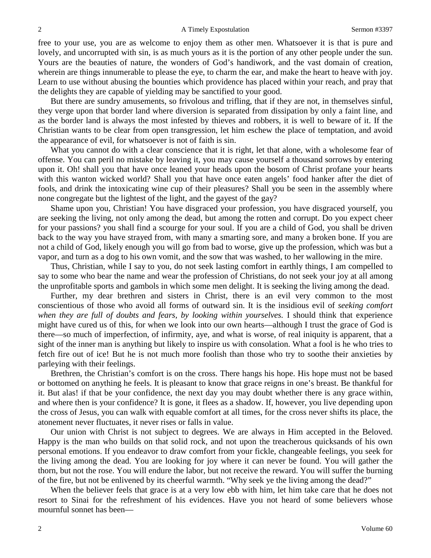free to your use, you are as welcome to enjoy them as other men. Whatsoever it is that is pure and lovely, and uncorrupted with sin, is as much yours as it is the portion of any other people under the sun. Yours are the beauties of nature, the wonders of God's handiwork, and the vast domain of creation, wherein are things innumerable to please the eye, to charm the ear, and make the heart to heave with joy. Learn to use without abusing the bounties which providence has placed within your reach, and pray that the delights they are capable of yielding may be sanctified to your good.

But there are sundry amusements, so frivolous and trifling, that if they are not, in themselves sinful, they verge upon that border land where diversion is separated from dissipation by only a faint line, and as the border land is always the most infested by thieves and robbers, it is well to beware of it. If the Christian wants to be clear from open transgression, let him eschew the place of temptation, and avoid the appearance of evil, for whatsoever is not of faith is sin.

What you cannot do with a clear conscience that it is right, let that alone, with a wholesome fear of offense. You can peril no mistake by leaving it, you may cause yourself a thousand sorrows by entering upon it. Oh! shall you that have once leaned your heads upon the bosom of Christ profane your hearts with this wanton wicked world? Shall you that have once eaten angels' food hanker after the diet of fools, and drink the intoxicating wine cup of their pleasures? Shall you be seen in the assembly where none congregate but the lightest of the light, and the gayest of the gay?

Shame upon you, Christian! You have disgraced your profession, you have disgraced yourself, you are seeking the living, not only among the dead, but among the rotten and corrupt. Do you expect cheer for your passions? you shall find a scourge for your soul. If you are a child of God, you shall be driven back to the way you have strayed from, with many a smarting sore, and many a broken bone. If you are not a child of God, likely enough you will go from bad to worse, give up the profession, which was but a vapor, and turn as a dog to his own vomit, and the sow that was washed, to her wallowing in the mire.

Thus, Christian, while I say to you, do not seek lasting comfort in earthly things, I am compelled to say to some who bear the name and wear the profession of Christians, do not seek your joy at all among the unprofitable sports and gambols in which some men delight. It is seeking the living among the dead.

Further, my dear brethren and sisters in Christ, there is an evil very common to the most conscientious of those who avoid all forms of outward sin. It is the insidious evil of *seeking comfort when they are full of doubts and fears, by looking within yourselves.* I should think that experience might have cured us of this, for when we look into our own hearts—although I trust the grace of God is there—so much of imperfection, of infirmity, aye, and what is worse, of real iniquity is apparent, that a sight of the inner man is anything but likely to inspire us with consolation. What a fool is he who tries to fetch fire out of ice! But he is not much more foolish than those who try to soothe their anxieties by parleying with their feelings.

Brethren, the Christian's comfort is on the cross. There hangs his hope. His hope must not be based or bottomed on anything he feels. It is pleasant to know that grace reigns in one's breast. Be thankful for it. But alas! if that be your confidence, the next day you may doubt whether there is any grace within, and where then is your confidence? It is gone, it flees as a shadow. If, however, you live depending upon the cross of Jesus, you can walk with equable comfort at all times, for the cross never shifts its place, the atonement never fluctuates, it never rises or falls in value.

Our union with Christ is not subject to degrees. We are always in Him accepted in the Beloved. Happy is the man who builds on that solid rock, and not upon the treacherous quicksands of his own personal emotions. If you endeavor to draw comfort from your fickle, changeable feelings, you seek for the living among the dead. You are looking for joy where it can never be found. You will gather the thorn, but not the rose. You will endure the labor, but not receive the reward. You will suffer the burning of the fire, but not be enlivened by its cheerful warmth. "Why seek ye the living among the dead?"

When the believer feels that grace is at a very low ebb with him, let him take care that he does not resort to Sinai for the refreshment of his evidences. Have you not heard of some believers whose mournful sonnet has been—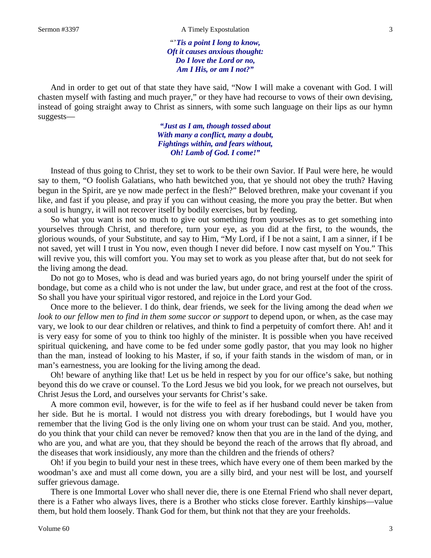"'*Tis a point I long to know, Oft it causes anxious thought: Do I love the Lord or no, Am I His, or am I not?"*

And in order to get out of that state they have said, "Now I will make a covenant with God. I will chasten myself with fasting and much prayer," or they have had recourse to vows of their own devising, instead of going straight away to Christ as sinners, with some such language on their lips as our hymn suggests—

> *"Just as I am, though tossed about With many a conflict, many a doubt, Fightings within, and fears without, Oh! Lamb of God. I come!"*

Instead of thus going to Christ, they set to work to be their own Savior. If Paul were here, he would say to them, "O foolish Galatians, who hath bewitched you, that ye should not obey the truth? Having begun in the Spirit, are ye now made perfect in the flesh?" Beloved brethren, make your covenant if you like, and fast if you please, and pray if you can without ceasing, the more you pray the better. But when a soul is hungry, it will not recover itself by bodily exercises, but by feeding.

So what you want is not so much to give out something from yourselves as to get something into yourselves through Christ, and therefore, turn your eye, as you did at the first, to the wounds, the glorious wounds, of your Substitute, and say to Him, "My Lord, if I be not a saint, I am a sinner, if I be not saved, yet will I trust in You now, even though I never did before. I now cast myself on You." This will revive you, this will comfort you. You may set to work as you please after that, but do not seek for the living among the dead.

Do not go to Moses, who is dead and was buried years ago, do not bring yourself under the spirit of bondage, but come as a child who is not under the law, but under grace, and rest at the foot of the cross. So shall you have your spiritual vigor restored, and rejoice in the Lord your God.

Once more to the believer. I do think, dear friends, we seek for the living among the dead *when we look to our fellow men to find in them some succor or support* to depend upon, or when, as the case may vary, we look to our dear children or relatives, and think to find a perpetuity of comfort there. Ah! and it is very easy for some of you to think too highly of the minister. It is possible when you have received spiritual quickening, and have come to be fed under some godly pastor, that you may look no higher than the man, instead of looking to his Master, if so, if your faith stands in the wisdom of man, or in man's earnestness, you are looking for the living among the dead.

Oh! beware of anything like that! Let us be held in respect by you for our office's sake, but nothing beyond this do we crave or counsel. To the Lord Jesus we bid you look, for we preach not ourselves, but Christ Jesus the Lord, and ourselves your servants for Christ's sake.

A more common evil, however, is for the wife to feel as if her husband could never be taken from her side. But he is mortal. I would not distress you with dreary forebodings, but I would have you remember that the living God is the only living one on whom your trust can be staid. And you, mother, do you think that your child can never be removed? know then that you are in the land of the dying, and who are you, and what are you, that they should be beyond the reach of the arrows that fly abroad, and the diseases that work insidiously, any more than the children and the friends of others?

Oh! if you begin to build your nest in these trees, which have every one of them been marked by the woodman's axe and must all come down, you are a silly bird, and your nest will be lost, and yourself suffer grievous damage.

There is one Immortal Lover who shall never die, there is one Eternal Friend who shall never depart, there is a Father who always lives, there is a Brother who sticks close forever. Earthly kinships—value them, but hold them loosely. Thank God for them, but think not that they are your freeholds.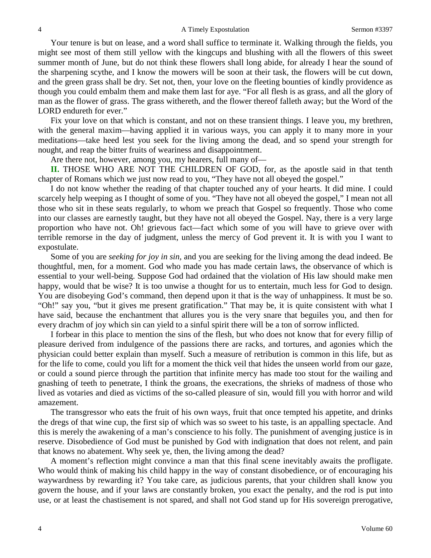Your tenure is but on lease, and a word shall suffice to terminate it. Walking through the fields, you might see most of them still yellow with the kingcups and blushing with all the flowers of this sweet summer month of June, but do not think these flowers shall long abide, for already I hear the sound of the sharpening scythe, and I know the mowers will be soon at their task, the flowers will be cut down, and the green grass shall be dry. Set not, then, your love on the fleeting bounties of kindly providence as though you could embalm them and make them last for aye. "For all flesh is as grass, and all the glory of man as the flower of grass. The grass withereth, and the flower thereof falleth away; but the Word of the LORD endureth for ever."

Fix your love on that which is constant, and not on these transient things. I leave you, my brethren, with the general maxim—having applied it in various ways, you can apply it to many more in your meditations—take heed lest you seek for the living among the dead, and so spend your strength for nought, and reap the bitter fruits of weariness and disappointment.

Are there not, however, among you, my hearers, full many of—

**II.** THOSE WHO ARE NOT THE CHILDREN OF GOD, for, as the apostle said in that tenth chapter of Romans which we just now read to you, "They have not all obeyed the gospel."

I do not know whether the reading of that chapter touched any of your hearts. It did mine. I could scarcely help weeping as I thought of some of you. "They have not all obeyed the gospel," I mean not all those who sit in these seats regularly, to whom we preach that Gospel so frequently. Those who come into our classes are earnestly taught, but they have not all obeyed the Gospel. Nay, there is a very large proportion who have not. Oh! grievous fact—fact which some of you will have to grieve over with terrible remorse in the day of judgment, unless the mercy of God prevent it. It is with you I want to expostulate.

Some of you are *seeking for joy in sin,* and you are seeking for the living among the dead indeed. Be thoughtful, men, for a moment. God who made you has made certain laws, the observance of which is essential to your well-being. Suppose God had ordained that the violation of His law should make men happy, would that be wise? It is too unwise a thought for us to entertain, much less for God to design. You are disobeying God's command, then depend upon it that is the way of unhappiness. It must be so. "Oh!" say you, "but it gives me present gratification." That may be, it is quite consistent with what I have said, because the enchantment that allures you is the very snare that beguiles you, and then for every drachm of joy which sin can yield to a sinful spirit there will be a ton of sorrow inflicted.

I forbear in this place to mention the sins of the flesh, but who does not know that for every fillip of pleasure derived from indulgence of the passions there are racks, and tortures, and agonies which the physician could better explain than myself. Such a measure of retribution is common in this life, but as for the life to come, could you lift for a moment the thick veil that hides the unseen world from our gaze, or could a sound pierce through the partition that infinite mercy has made too stout for the wailing and gnashing of teeth to penetrate, I think the groans, the execrations, the shrieks of madness of those who lived as votaries and died as victims of the so-called pleasure of sin, would fill you with horror and wild amazement.

The transgressor who eats the fruit of his own ways, fruit that once tempted his appetite, and drinks the dregs of that wine cup, the first sip of which was so sweet to his taste, is an appalling spectacle. And this is merely the awakening of a man's conscience to his folly. The punishment of avenging justice is in reserve. Disobedience of God must be punished by God with indignation that does not relent, and pain that knows no abatement. Why seek ye, then, the living among the dead?

A moment's reflection might convince a man that this final scene inevitably awaits the profligate. Who would think of making his child happy in the way of constant disobedience, or of encouraging his waywardness by rewarding it? You take care, as judicious parents, that your children shall know you govern the house, and if your laws are constantly broken, you exact the penalty, and the rod is put into use, or at least the chastisement is not spared, and shall not God stand up for His sovereign prerogative,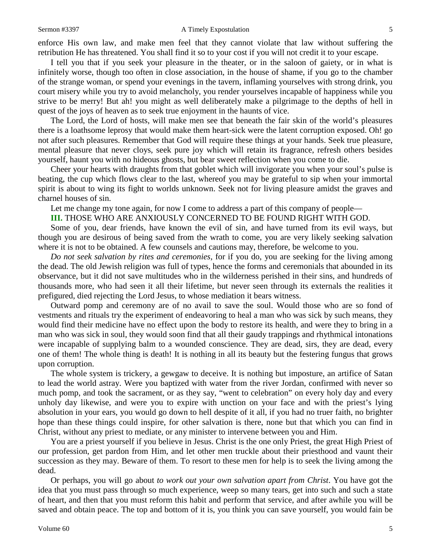### Sermon #3397 **A Timely Expostulation** 5

enforce His own law, and make men feel that they cannot violate that law without suffering the retribution He has threatened. You shall find it so to your cost if you will not credit it to your escape.

I tell you that if you seek your pleasure in the theater, or in the saloon of gaiety, or in what is infinitely worse, though too often in close association, in the house of shame, if you go to the chamber of the strange woman, or spend your evenings in the tavern, inflaming yourselves with strong drink, you court misery while you try to avoid melancholy, you render yourselves incapable of happiness while you strive to be merry! But ah! you might as well deliberately make a pilgrimage to the depths of hell in quest of the joys of heaven as to seek true enjoyment in the haunts of vice.

The Lord, the Lord of hosts, will make men see that beneath the fair skin of the world's pleasures there is a loathsome leprosy that would make them heart-sick were the latent corruption exposed. Oh! go not after such pleasures. Remember that God will require these things at your hands. Seek true pleasure, mental pleasure that never cloys, seek pure joy which will retain its fragrance, refresh others besides yourself, haunt you with no hideous ghosts, but bear sweet reflection when you come to die.

Cheer your hearts with draughts from that goblet which will invigorate you when your soul's pulse is beating, the cup which flows clear to the last, whereof you may be grateful to sip when your immortal spirit is about to wing its fight to worlds unknown. Seek not for living pleasure amidst the graves and charnel houses of sin.

Let me change my tone again, for now I come to address a part of this company of people—

**III.** THOSE WHO ARE ANXIOUSLY CONCERNED TO BE FOUND RIGHT WITH GOD.

Some of you, dear friends, have known the evil of sin, and have turned from its evil ways, but though you are desirous of being saved from the wrath to come, you are very likely seeking salvation where it is not to be obtained. A few counsels and cautions may, therefore, be welcome to you.

*Do not seek salvation by rites and ceremonies,* for if you do, you are seeking for the living among the dead. The old Jewish religion was full of types, hence the forms and ceremonials that abounded in its observance, but it did not save multitudes who in the wilderness perished in their sins, and hundreds of thousands more, who had seen it all their lifetime, but never seen through its externals the realities it prefigured, died rejecting the Lord Jesus, to whose mediation it bears witness.

Outward pomp and ceremony are of no avail to save the soul. Would those who are so fond of vestments and rituals try the experiment of endeavoring to heal a man who was sick by such means, they would find their medicine have no effect upon the body to restore its health, and were they to bring in a man who was sick in soul, they would soon find that all their gaudy trappings and rhythmical intonations were incapable of supplying balm to a wounded conscience. They are dead, sirs, they are dead, every one of them! The whole thing is death! It is nothing in all its beauty but the festering fungus that grows upon corruption.

The whole system is trickery, a gewgaw to deceive. It is nothing but imposture, an artifice of Satan to lead the world astray. Were you baptized with water from the river Jordan, confirmed with never so much pomp, and took the sacrament, or as they say, "went to celebration" on every holy day and every unholy day likewise, and were you to expire with unction on your face and with the priest's lying absolution in your ears, you would go down to hell despite of it all, if you had no truer faith, no brighter hope than these things could inspire, for other salvation is there, none but that which you can find in Christ, without any priest to mediate, or any minister to intervene between you and Him.

You are a priest yourself if you believe in Jesus. Christ is the one only Priest, the great High Priest of our profession, get pardon from Him, and let other men truckle about their priesthood and vaunt their succession as they may. Beware of them. To resort to these men for help is to seek the living among the dead.

Or perhaps, you will go about *to work out your own salvation apart from Christ*. You have got the idea that you must pass through so much experience, weep so many tears, get into such and such a state of heart, and then that you must reform this habit and perform that service, and after awhile you will be saved and obtain peace. The top and bottom of it is, you think you can save yourself, you would fain be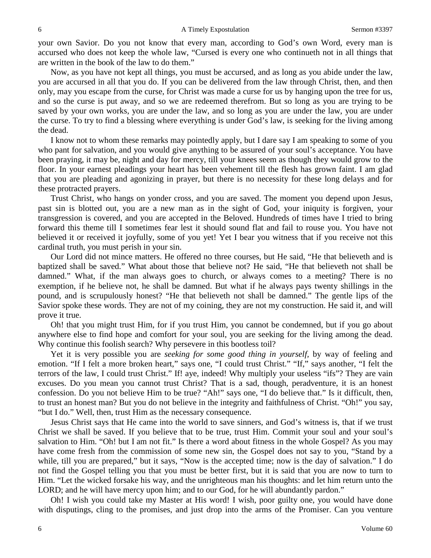your own Savior. Do you not know that every man, according to God's own Word, every man is accursed who does not keep the whole law, "Cursed is every one who continueth not in all things that are written in the book of the law to do them."

Now, as you have not kept all things, you must be accursed, and as long as you abide under the law, you are accursed in all that you do. If you can be delivered from the law through Christ, then, and then only, may you escape from the curse, for Christ was made a curse for us by hanging upon the tree for us, and so the curse is put away, and so we are redeemed therefrom. But so long as you are trying to be saved by your own works, you are under the law, and so long as you are under the law, you are under the curse. To try to find a blessing where everything is under God's law, is seeking for the living among the dead.

I know not to whom these remarks may pointedly apply, but I dare say I am speaking to some of you who pant for salvation, and you would give anything to be assured of your soul's acceptance. You have been praying, it may be, night and day for mercy, till your knees seem as though they would grow to the floor. In your earnest pleadings your heart has been vehement till the flesh has grown faint. I am glad that you are pleading and agonizing in prayer, but there is no necessity for these long delays and for these protracted prayers.

Trust Christ, who hangs on yonder cross, and you are saved. The moment you depend upon Jesus, past sin is blotted out, you are a new man as in the sight of God, your iniquity is forgiven, your transgression is covered, and you are accepted in the Beloved. Hundreds of times have I tried to bring forward this theme till I sometimes fear lest it should sound flat and fail to rouse you. You have not believed it or received it joyfully, some of you yet! Yet I bear you witness that if you receive not this cardinal truth, you must perish in your sin.

Our Lord did not mince matters. He offered no three courses, but He said, "He that believeth and is baptized shall be saved." What about those that believe not? He said, "He that believeth not shall be damned." What, if the man always goes to church, or always comes to a meeting? There is no exemption, if he believe not, he shall be damned. But what if he always pays twenty shillings in the pound, and is scrupulously honest? "He that believeth not shall be damned." The gentle lips of the Savior spoke these words. They are not of my coining, they are not my construction. He said it, and will prove it true.

Oh! that you might trust Him, for if you trust Him, you cannot be condemned, but if you go about anywhere else to find hope and comfort for your soul, you are seeking for the living among the dead. Why continue this foolish search? Why persevere in this bootless toil?

Yet it is very possible you are *seeking for some good thing in yourself,* by way of feeling and emotion. "If I felt a more broken heart," says one, "I could trust Christ." "If," says another, "I felt the terrors of the law, I could trust Christ." If! aye, indeed! Why multiply your useless "ifs"? They are vain excuses. Do you mean you cannot trust Christ? That is a sad, though, peradventure, it is an honest confession. Do you not believe Him to be true? "Ah!" says one, "I do believe that." Is it difficult, then, to trust an honest man? But you do not believe in the integrity and faithfulness of Christ. "Oh!" you say, "but I do." Well, then, trust Him as the necessary consequence.

Jesus Christ says that He came into the world to save sinners, and God's witness is, that if we trust Christ we shall be saved. If you believe that to be true, trust Him. Commit your soul and your soul's salvation to Him. "Oh! but I am not fit." Is there a word about fitness in the whole Gospel? As you may have come fresh from the commission of some new sin, the Gospel does not say to you, "Stand by a while, till you are prepared," but it says, "Now is the accepted time; now is the day of salvation." I do not find the Gospel telling you that you must be better first, but it is said that you are now to turn to Him. "Let the wicked forsake his way, and the unrighteous man his thoughts: and let him return unto the LORD; and he will have mercy upon him; and to our God, for he will abundantly pardon."

Oh! I wish you could take my Master at His word! I wish, poor guilty one, you would have done with disputings, cling to the promises, and just drop into the arms of the Promiser. Can you venture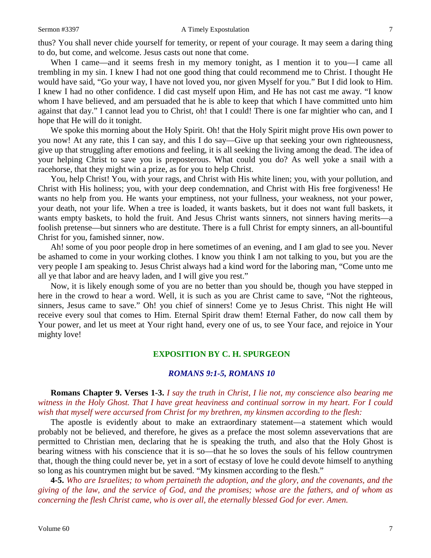thus? You shall never chide yourself for temerity, or repent of your courage. It may seem a daring thing to do, but come, and welcome. Jesus casts out none that come.

When I came—and it seems fresh in my memory tonight, as I mention it to you—I came all trembling in my sin. I knew I had not one good thing that could recommend me to Christ. I thought He would have said, "Go your way, I have not loved you, nor given Myself for you." But I did look to Him. I knew I had no other confidence. I did cast myself upon Him, and He has not cast me away. "I know whom I have believed, and am persuaded that he is able to keep that which I have committed unto him against that day." I cannot lead you to Christ, oh! that I could! There is one far mightier who can, and I hope that He will do it tonight.

We spoke this morning about the Holy Spirit. Oh! that the Holy Spirit might prove His own power to you now! At any rate, this I can say, and this I do say—Give up that seeking your own righteousness, give up that struggling after emotions and feeling, it is all seeking the living among the dead. The idea of your helping Christ to save you is preposterous. What could you do? As well yoke a snail with a racehorse, that they might win a prize, as for you to help Christ.

You, help Christ! You, with your rags, and Christ with His white linen; you, with your pollution, and Christ with His holiness; you, with your deep condemnation, and Christ with His free forgiveness! He wants no help from you. He wants your emptiness, not your fullness, your weakness, not your power, your death, not your life. When a tree is loaded, it wants baskets, but it does not want full baskets, it wants empty baskets, to hold the fruit. And Jesus Christ wants sinners, not sinners having merits—a foolish pretense—but sinners who are destitute. There is a full Christ for empty sinners, an all-bountiful Christ for you, famished sinner, now.

Ah! some of you poor people drop in here sometimes of an evening, and I am glad to see you. Never be ashamed to come in your working clothes. I know you think I am not talking to you, but you are the very people I am speaking to. Jesus Christ always had a kind word for the laboring man, "Come unto me all ye that labor and are heavy laden, and I will give you rest."

Now, it is likely enough some of you are no better than you should be, though you have stepped in here in the crowd to hear a word. Well, it is such as you are Christ came to save, "Not the righteous, sinners, Jesus came to save." Oh! you chief of sinners! Come ye to Jesus Christ. This night He will receive every soul that comes to Him. Eternal Spirit draw them! Eternal Father, do now call them by Your power, and let us meet at Your right hand, every one of us, to see Your face, and rejoice in Your mighty love!

## **EXPOSITION BY C. H. SPURGEON**

## *ROMANS 9:1-5, ROMANS 10*

**Romans Chapter 9. Verses 1-3.** *I say the truth in Christ, I lie not, my conscience also bearing me witness in the Holy Ghost. That I have great heaviness and continual sorrow in my heart. For I could wish that myself were accursed from Christ for my brethren, my kinsmen according to the flesh:*

The apostle is evidently about to make an extraordinary statement—a statement which would probably not be believed, and therefore, he gives as a preface the most solemn assevervations that are permitted to Christian men, declaring that he is speaking the truth, and also that the Holy Ghost is bearing witness with his conscience that it is so—that he so loves the souls of his fellow countrymen that, though the thing could never be, yet in a sort of ecstasy of love he could devote himself to anything so long as his countrymen might but be saved. "My kinsmen according to the flesh."

**4-5.** *Who are Israelites; to whom pertaineth the adoption, and the glory, and the covenants, and the giving of the law, and the service of God, and the promises; whose are the fathers, and of whom as concerning the flesh Christ came, who is over all, the eternally blessed God for ever. Amen.*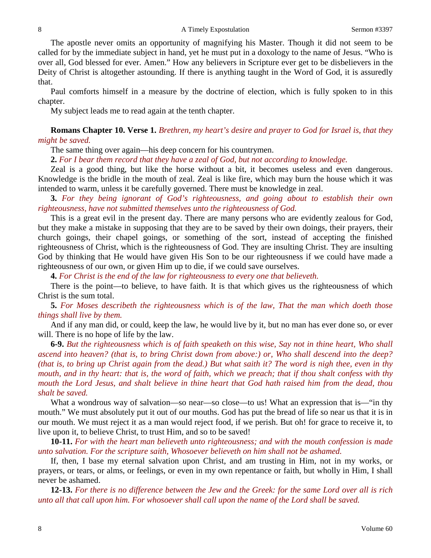The apostle never omits an opportunity of magnifying his Master. Though it did not seem to be called for by the immediate subject in hand, yet he must put in a doxology to the name of Jesus. "Who is over all, God blessed for ever. Amen." How any believers in Scripture ever get to be disbelievers in the Deity of Christ is altogether astounding. If there is anything taught in the Word of God, it is assuredly that.

Paul comforts himself in a measure by the doctrine of election, which is fully spoken to in this chapter.

My subject leads me to read again at the tenth chapter.

## **Romans Chapter 10. Verse 1.** *Brethren, my heart's desire and prayer to God for Israel is, that they might be saved.*

The same thing over again—his deep concern for his countrymen.

**2.** *For I bear them record that they have a zeal of God, but not according to knowledge.*

Zeal is a good thing, but like the horse without a bit, it becomes useless and even dangerous. Knowledge is the bridle in the mouth of zeal. Zeal is like fire, which may burn the house which it was intended to warm, unless it be carefully governed. There must be knowledge in zeal.

**3.** *For they being ignorant of God's righteousness, and going about to establish their own righteousness, have not submitted themselves unto the righteousness of God.*

This is a great evil in the present day. There are many persons who are evidently zealous for God, but they make a mistake in supposing that they are to be saved by their own doings, their prayers, their church goings, their chapel goings, or something of the sort, instead of accepting the finished righteousness of Christ, which is the righteousness of God. They are insulting Christ. They are insulting God by thinking that He would have given His Son to be our righteousness if we could have made a righteousness of our own, or given Him up to die, if we could save ourselves.

**4.** *For Christ is the end of the law for righteousness to every one that believeth.*

There is the point—to believe, to have faith. It is that which gives us the righteousness of which Christ is the sum total.

**5.** *For Moses describeth the righteousness which is of the law, That the man which doeth those things shall live by them.*

And if any man did, or could, keep the law, he would live by it, but no man has ever done so, or ever will. There is no hope of life by the law.

**6-9.** *But the righteousness which is of faith speaketh on this wise, Say not in thine heart, Who shall ascend into heaven? (that is, to bring Christ down from above:) or, Who shall descend into the deep? (that is, to bring up Christ again from the dead.) But what saith it? The word is nigh thee, even in thy mouth, and in thy heart: that is, the word of faith, which we preach; that if thou shalt confess with thy mouth the Lord Jesus, and shalt believe in thine heart that God hath raised him from the dead, thou shalt be saved.*

What a wondrous way of salvation—so near—so close—to us! What an expression that is—"in thy mouth." We must absolutely put it out of our mouths. God has put the bread of life so near us that it is in our mouth. We must reject it as a man would reject food, if we perish. But oh! for grace to receive it, to live upon it, to believe Christ, to trust Him, and so to be saved!

**10-11.** *For with the heart man believeth unto righteousness; and with the mouth confession is made unto salvation. For the scripture saith, Whosoever believeth on him shall not be ashamed.*

If, then, I base my eternal salvation upon Christ, and am trusting in Him, not in my works, or prayers, or tears, or alms, or feelings, or even in my own repentance or faith, but wholly in Him, I shall never be ashamed.

**12-13.** *For there is no difference between the Jew and the Greek: for the same Lord over all is rich unto all that call upon him. For whosoever shall call upon the name of the Lord shall be saved.*